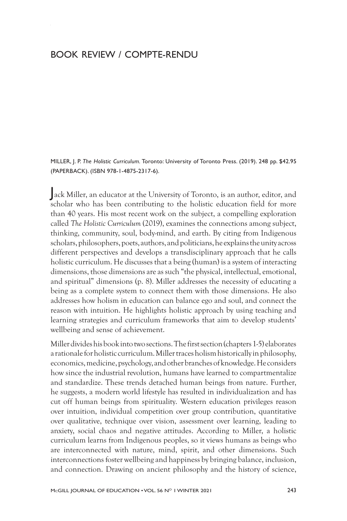## BOOK REVIEW / COMPTE-RENDU

MILLER, J. P. *The Holistic Curriculum.* Toronto: University of Toronto Press. (2019). 248 pp. \$42.95 (PAPERBACK). (ISBN 978-1-4875-2317-6).

Jack Miller, an educator at the University of Toronto, is an author, editor, and scholar who has been contributing to the holistic education field for more than 40 years. His most recent work on the subject, a compelling exploration called *The Holistic Curriculum* (2019), examines the connections among subject, thinking, community, soul, body-mind, and earth. By citing from Indigenous scholars, philosophers, poets, authors, and politicians, he explains the unity across different perspectives and develops a transdisciplinary approach that he calls holistic curriculum. He discusses that a being (human) is a system of interacting dimensions, those dimensions are as such "the physical, intellectual, emotional, and spiritual" dimensions (p. 8). Miller addresses the necessity of educating a being as a complete system to connect them with those dimensions. He also addresses how holism in education can balance ego and soul, and connect the reason with intuition. He highlights holistic approach by using teaching and learning strategies and curriculum frameworks that aim to develop students' wellbeing and sense of achievement.

Miller divides his book into two sections. The first section (chapters1-5) elaborates a rationale for holistic curriculum. Miller traces holism historically in philosophy, economics, medicine, psychology, and other branches of knowledge. He considers how since the industrial revolution, humans have learned to compartmentalize and standardize. These trends detached human beings from nature. Further, he suggests, a modern world lifestyle has resulted in individualization and has cut off human beings from spirituality. Western education privileges reason over intuition, individual competition over group contribution, quantitative over qualitative, technique over vision, assessment over learning, leading to anxiety, social chaos and negative attitudes. According to Miller, a holistic curriculum learns from Indigenous peoples, so it views humans as beings who are interconnected with nature, mind, spirit, and other dimensions. Such interconnections foster wellbeing and happiness by bringing balance, inclusion, and connection. Drawing on ancient philosophy and the history of science,